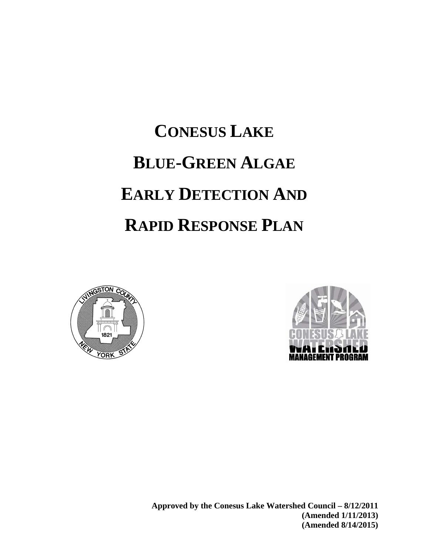# **CONESUS LAKE BLUE-GREEN ALGAE EARLY DETECTION AND RAPID RESPONSE PLAN**





**Approved by the Conesus Lake Watershed Council – 8/12/2011 (Amended 1/11/2013) (Amended 8/14/2015)**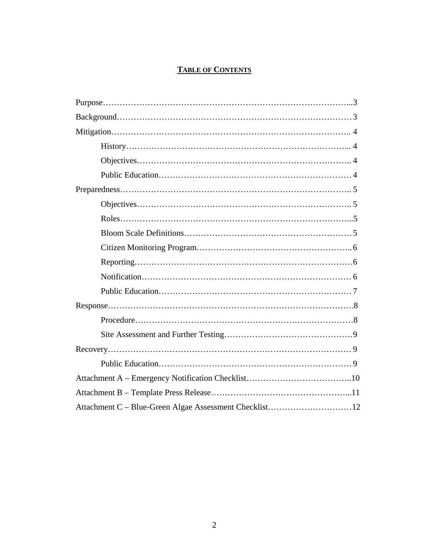# **TABLE OF CONTENTS**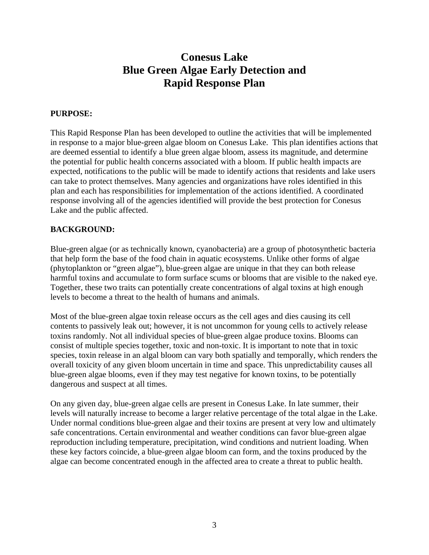# **Conesus Lake Blue Green Algae Early Detection and Rapid Response Plan**

# **PURPOSE:**

This Rapid Response Plan has been developed to outline the activities that will be implemented in response to a major blue-green algae bloom on Conesus Lake. This plan identifies actions that are deemed essential to identify a blue green algae bloom, assess its magnitude, and determine the potential for public health concerns associated with a bloom. If public health impacts are expected, notifications to the public will be made to identify actions that residents and lake users can take to protect themselves. Many agencies and organizations have roles identified in this plan and each has responsibilities for implementation of the actions identified. A coordinated response involving all of the agencies identified will provide the best protection for Conesus Lake and the public affected.

# **BACKGROUND:**

Blue-green algae (or as technically known, cyanobacteria) are a group of photosynthetic bacteria that help form the base of the food chain in aquatic ecosystems. Unlike other forms of algae (phytoplankton or "green algae"), blue-green algae are unique in that they can both release harmful toxins and accumulate to form surface scums or blooms that are visible to the naked eye. Together, these two traits can potentially create concentrations of algal toxins at high enough levels to become a threat to the health of humans and animals.

Most of the blue-green algae toxin release occurs as the cell ages and dies causing its cell contents to passively leak out; however, it is not uncommon for young cells to actively release toxins randomly. Not all individual species of blue-green algae produce toxins. Blooms can consist of multiple species together, toxic and non-toxic. It is important to note that in toxic species, toxin release in an algal bloom can vary both spatially and temporally, which renders the overall toxicity of any given bloom uncertain in time and space. This unpredictability causes all blue-green algae blooms, even if they may test negative for known toxins, to be potentially dangerous and suspect at all times.

On any given day, blue-green algae cells are present in Conesus Lake. In late summer, their levels will naturally increase to become a larger relative percentage of the total algae in the Lake. Under normal conditions blue-green algae and their toxins are present at very low and ultimately safe concentrations. Certain environmental and weather conditions can favor blue-green algae reproduction including temperature, precipitation, wind conditions and nutrient loading. When these key factors coincide, a blue-green algae bloom can form, and the toxins produced by the algae can become concentrated enough in the affected area to create a threat to public health.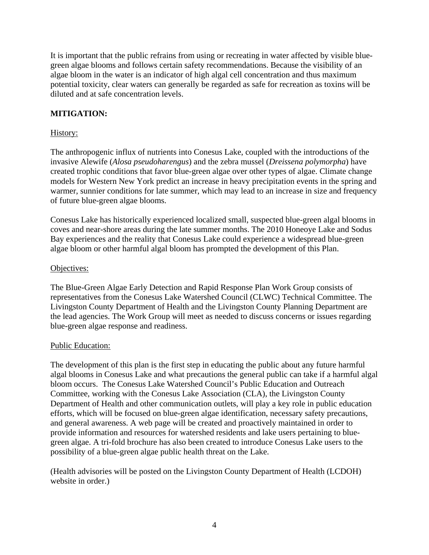It is important that the public refrains from using or recreating in water affected by visible bluegreen algae blooms and follows certain safety recommendations. Because the visibility of an algae bloom in the water is an indicator of high algal cell concentration and thus maximum potential toxicity, clear waters can generally be regarded as safe for recreation as toxins will be diluted and at safe concentration levels.

# **MITIGATION:**

# History:

The anthropogenic influx of nutrients into Conesus Lake, coupled with the introductions of the invasive Alewife (*Alosa pseudoharengus*) and the zebra mussel (*Dreissena polymorpha*) have created trophic conditions that favor blue-green algae over other types of algae. Climate change models for Western New York predict an increase in heavy precipitation events in the spring and warmer, sunnier conditions for late summer, which may lead to an increase in size and frequency of future blue-green algae blooms.

Conesus Lake has historically experienced localized small, suspected blue-green algal blooms in coves and near-shore areas during the late summer months. The 2010 Honeoye Lake and Sodus Bay experiences and the reality that Conesus Lake could experience a widespread blue-green algae bloom or other harmful algal bloom has prompted the development of this Plan.

## Objectives:

The Blue-Green Algae Early Detection and Rapid Response Plan Work Group consists of representatives from the Conesus Lake Watershed Council (CLWC) Technical Committee. The Livingston County Department of Health and the Livingston County Planning Department are the lead agencies. The Work Group will meet as needed to discuss concerns or issues regarding blue-green algae response and readiness.

### Public Education:

The development of this plan is the first step in educating the public about any future harmful algal blooms in Conesus Lake and what precautions the general public can take if a harmful algal bloom occurs. The Conesus Lake Watershed Council's Public Education and Outreach Committee, working with the Conesus Lake Association (CLA), the Livingston County Department of Health and other communication outlets, will play a key role in public education efforts, which will be focused on blue-green algae identification, necessary safety precautions, and general awareness. A web page will be created and proactively maintained in order to provide information and resources for watershed residents and lake users pertaining to bluegreen algae. A tri-fold brochure has also been created to introduce Conesus Lake users to the possibility of a blue-green algae public health threat on the Lake.

(Health advisories will be posted on the Livingston County Department of Health (LCDOH) website in order.)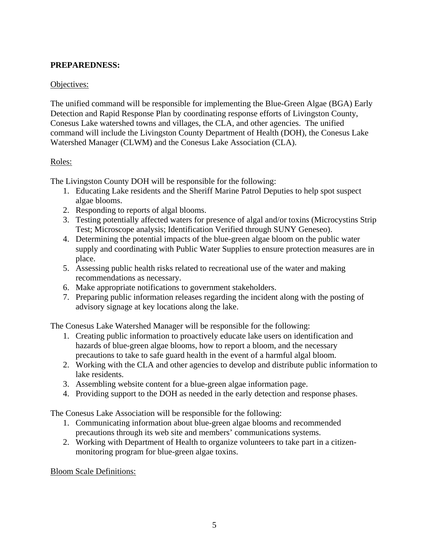# **PREPAREDNESS:**

# Objectives:

The unified command will be responsible for implementing the Blue-Green Algae (BGA) Early Detection and Rapid Response Plan by coordinating response efforts of Livingston County, Conesus Lake watershed towns and villages, the CLA, and other agencies. The unified command will include the Livingston County Department of Health (DOH), the Conesus Lake Watershed Manager (CLWM) and the Conesus Lake Association (CLA).

## Roles:

The Livingston County DOH will be responsible for the following:

- 1. Educating Lake residents and the Sheriff Marine Patrol Deputies to help spot suspect algae blooms.
- 2. Responding to reports of algal blooms.
- 3. Testing potentially affected waters for presence of algal and/or toxins (Microcystins Strip Test; Microscope analysis; Identification Verified through SUNY Geneseo).
- 4. Determining the potential impacts of the blue-green algae bloom on the public water supply and coordinating with Public Water Supplies to ensure protection measures are in place.
- 5. Assessing public health risks related to recreational use of the water and making recommendations as necessary.
- 6. Make appropriate notifications to government stakeholders.
- 7. Preparing public information releases regarding the incident along with the posting of advisory signage at key locations along the lake.

The Conesus Lake Watershed Manager will be responsible for the following:

- 1. Creating public information to proactively educate lake users on identification and hazards of blue-green algae blooms, how to report a bloom, and the necessary precautions to take to safe guard health in the event of a harmful algal bloom.
- 2. Working with the CLA and other agencies to develop and distribute public information to lake residents.
- 3. Assembling website content for a blue-green algae information page.
- 4. Providing support to the DOH as needed in the early detection and response phases.

The Conesus Lake Association will be responsible for the following:

- 1. Communicating information about blue-green algae blooms and recommended precautions through its web site and members' communications systems.
- 2. Working with Department of Health to organize volunteers to take part in a citizenmonitoring program for blue-green algae toxins.

Bloom Scale Definitions: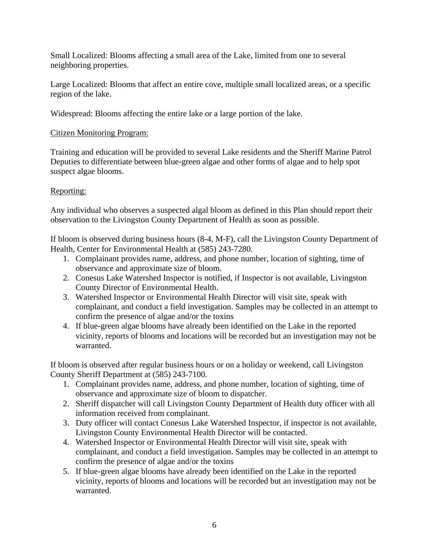Small Localized: Blooms affecting a small area of the Lake, limited from one to several neighboring properties.

Large Localized: Blooms that affect an entire cove, multiple small localized areas, or a specific region of the lake.

Widespread: Blooms affecting the entire lake or a large portion of the lake.

# Citizen Monitoring Program:

Training and education will be provided to several Lake residents and the Sheriff Marine Patrol Deputies to differentiate between blue-green algae and other forms of algae and to help spot suspect algae blooms.

# Reporting:

Any individual who observes a suspected algal bloom as defined in this Plan should report their observation to the Livingston County Department of Health as soon as possible.

If bloom is observed during business hours (8-4, M-F), call the Livingston County Department of Health, Center for Environmental Health at (585) 243-7280.

- 1. Complainant provides name, address, and phone number, location of sighting, time of observance and approximate size of bloom.
- 2. Conesus Lake Watershed Inspector is notified, if Inspector is not available, Livingston County Director of Environmental Health.
- 3. Watershed Inspector or Environmental Health Director will visit site, speak with complainant, and conduct a field investigation. Samples may be collected in an attempt to confirm the presence of algae and/or the toxins
- 4. If blue-green algae blooms have already been identified on the Lake in the reported vicinity, reports of blooms and locations will be recorded but an investigation may not be warranted.

If bloom is observed after regular business hours or on a holiday or weekend, call Livingston County Sheriff Department at (585) 243-7100.

- 1. Complainant provides name, address, and phone number, location of sighting, time of observance and approximate size of bloom to dispatcher.
- 2. Sheriff dispatcher will call Livingston County Department of Health duty officer with all information received from complainant.
- 3. Duty officer will contact Conesus Lake Watershed Inspector, if inspector is not available, Livingston County Environmental Health Director will be contacted.
- 4. Watershed Inspector or Environmental Health Director will visit site, speak with complainant, and conduct a field investigation. Samples may be collected in an attempt to confirm the presence of algae and/or the toxins
- 5. If blue-green algae blooms have already been identified on the Lake in the reported vicinity, reports of blooms and locations will be recorded but an investigation may not be warranted.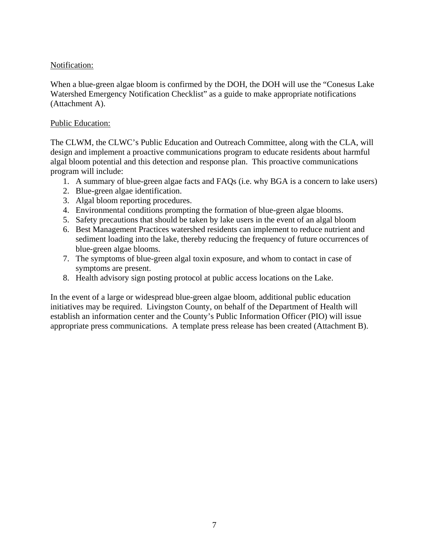## Notification:

When a blue-green algae bloom is confirmed by the DOH, the DOH will use the "Conesus Lake Watershed Emergency Notification Checklist" as a guide to make appropriate notifications (Attachment A).

## Public Education:

The CLWM, the CLWC's Public Education and Outreach Committee, along with the CLA, will design and implement a proactive communications program to educate residents about harmful algal bloom potential and this detection and response plan. This proactive communications program will include:

- 1. A summary of blue-green algae facts and FAQs (i.e. why BGA is a concern to lake users)
- 2. Blue-green algae identification.
- 3. Algal bloom reporting procedures.
- 4. Environmental conditions prompting the formation of blue-green algae blooms.
- 5. Safety precautions that should be taken by lake users in the event of an algal bloom
- 6. Best Management Practices watershed residents can implement to reduce nutrient and sediment loading into the lake, thereby reducing the frequency of future occurrences of blue-green algae blooms.
- 7. The symptoms of blue-green algal toxin exposure, and whom to contact in case of symptoms are present.
- 8. Health advisory sign posting protocol at public access locations on the Lake.

In the event of a large or widespread blue-green algae bloom, additional public education initiatives may be required. Livingston County, on behalf of the Department of Health will establish an information center and the County's Public Information Officer (PIO) will issue appropriate press communications. A template press release has been created (Attachment B).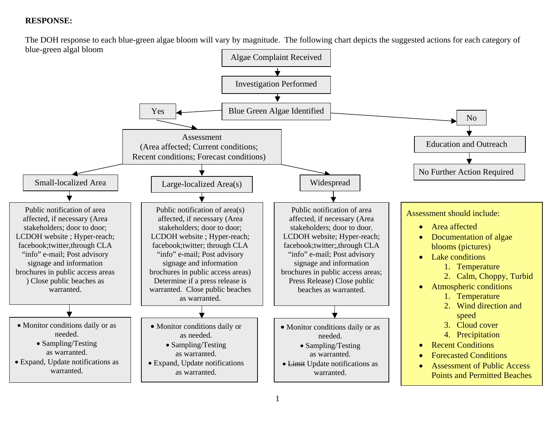# **RESPONSE:**

The DOH response to each blue-green algae bloom will vary by magnitude. The following chart depicts the suggested actions for each category of blue-green algal bloom

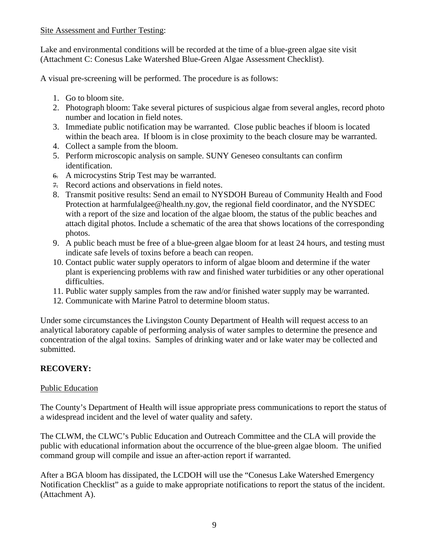Site Assessment and Further Testing:

Lake and environmental conditions will be recorded at the time of a blue-green algae site visit (Attachment C: Conesus Lake Watershed Blue-Green Algae Assessment Checklist).

A visual pre-screening will be performed. The procedure is as follows:

- 1. Go to bloom site.
- 2. Photograph bloom: Take several pictures of suspicious algae from several angles, record photo number and location in field notes.
- 3. Immediate public notification may be warranted. Close public beaches if bloom is located within the beach area. If bloom is in close proximity to the beach closure may be warranted.
- 4. Collect a sample from the bloom.
- 5. Perform microscopic analysis on sample. SUNY Geneseo consultants can confirm identification.
- 6. A microcystins Strip Test may be warranted.
- 7. Record actions and observations in field notes.
- 8. Transmit positive results: Send an email to NYSDOH Bureau of Community Health and Food Protection at harmfulalgee@health.ny.gov, the regional field coordinator, and the NYSDEC with a report of the size and location of the algae bloom, the status of the public beaches and attach digital photos. Include a schematic of the area that shows locations of the corresponding photos.
- 9. A public beach must be free of a blue-green algae bloom for at least 24 hours, and testing must indicate safe levels of toxins before a beach can reopen.
- 10. Contact public water supply operators to inform of algae bloom and determine if the water plant is experiencing problems with raw and finished water turbidities or any other operational difficulties.
- 11. Public water supply samples from the raw and/or finished water supply may be warranted.
- 12. Communicate with Marine Patrol to determine bloom status.

Under some circumstances the Livingston County Department of Health will request access to an analytical laboratory capable of performing analysis of water samples to determine the presence and concentration of the algal toxins. Samples of drinking water and or lake water may be collected and submitted.

# **RECOVERY:**

# Public Education

The County's Department of Health will issue appropriate press communications to report the status of a widespread incident and the level of water quality and safety.

The CLWM, the CLWC's Public Education and Outreach Committee and the CLA will provide the public with educational information about the occurrence of the blue-green algae bloom. The unified command group will compile and issue an after-action report if warranted.

After a BGA bloom has dissipated, the LCDOH will use the "Conesus Lake Watershed Emergency Notification Checklist" as a guide to make appropriate notifications to report the status of the incident. (Attachment A).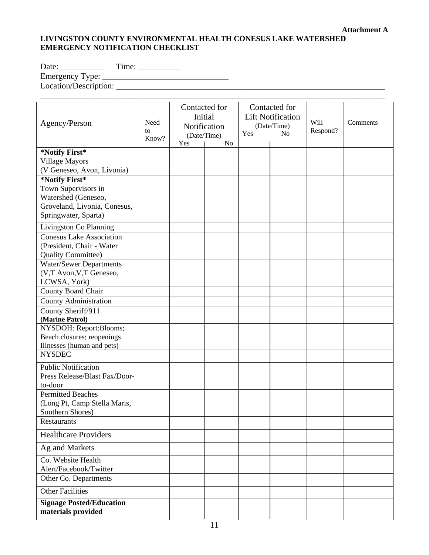# **LIVINGSTON COUNTY ENVIRONMENTAL HEALTH CONESUS LAKE WATERSHED EMERGENCY NOTIFICATION CHECKLIST**

Date: \_\_\_\_\_\_\_\_\_\_ Time: \_\_\_\_\_\_\_\_\_\_ Emergency Type: \_\_\_\_\_\_\_\_\_\_\_\_\_\_\_\_\_\_\_\_\_\_\_\_\_\_\_\_\_\_

Location/Description: \_\_\_\_\_\_\_\_\_\_\_\_\_\_\_\_\_\_\_\_\_\_\_\_\_\_\_\_\_\_\_\_\_\_\_\_\_\_\_\_\_\_\_\_\_\_\_\_\_\_\_\_\_\_\_\_\_\_\_\_\_\_\_\_

| Agency/Person                                         | Need<br>to<br>Know? | Contacted for<br>Initial<br>Notification<br>(Date/Time)<br>Yes<br>N <sub>o</sub> |  | Contacted for<br><b>Lift Notification</b><br>(Date/Time)<br>Yes<br>N <sub>o</sub> |  | Will<br>Respond? | Comments |
|-------------------------------------------------------|---------------------|----------------------------------------------------------------------------------|--|-----------------------------------------------------------------------------------|--|------------------|----------|
| *Notify First*                                        |                     |                                                                                  |  |                                                                                   |  |                  |          |
| <b>Village Mayors</b>                                 |                     |                                                                                  |  |                                                                                   |  |                  |          |
| (V Geneseo, Avon, Livonia)                            |                     |                                                                                  |  |                                                                                   |  |                  |          |
| *Notify First*                                        |                     |                                                                                  |  |                                                                                   |  |                  |          |
| Town Supervisors in                                   |                     |                                                                                  |  |                                                                                   |  |                  |          |
| Watershed (Geneseo,                                   |                     |                                                                                  |  |                                                                                   |  |                  |          |
| Groveland, Livonia, Conesus,                          |                     |                                                                                  |  |                                                                                   |  |                  |          |
| Springwater, Sparta)                                  |                     |                                                                                  |  |                                                                                   |  |                  |          |
| Livingston Co Planning                                |                     |                                                                                  |  |                                                                                   |  |                  |          |
| <b>Conesus Lake Association</b>                       |                     |                                                                                  |  |                                                                                   |  |                  |          |
| (President, Chair - Water                             |                     |                                                                                  |  |                                                                                   |  |                  |          |
| <b>Quality Committee)</b>                             |                     |                                                                                  |  |                                                                                   |  |                  |          |
| <b>Water/Sewer Departments</b>                        |                     |                                                                                  |  |                                                                                   |  |                  |          |
| (V,T Avon, V,T Geneseo,                               |                     |                                                                                  |  |                                                                                   |  |                  |          |
| LCWSA, York)                                          |                     |                                                                                  |  |                                                                                   |  |                  |          |
| County Board Chair                                    |                     |                                                                                  |  |                                                                                   |  |                  |          |
| <b>County Administration</b>                          |                     |                                                                                  |  |                                                                                   |  |                  |          |
| County Sheriff/911                                    |                     |                                                                                  |  |                                                                                   |  |                  |          |
| (Marine Patrol)                                       |                     |                                                                                  |  |                                                                                   |  |                  |          |
| NYSDOH: Report:Blooms;                                |                     |                                                                                  |  |                                                                                   |  |                  |          |
| Beach closures; reopenings                            |                     |                                                                                  |  |                                                                                   |  |                  |          |
| Illnesses (human and pets)                            |                     |                                                                                  |  |                                                                                   |  |                  |          |
| <b>NYSDEC</b>                                         |                     |                                                                                  |  |                                                                                   |  |                  |          |
| <b>Public Notification</b>                            |                     |                                                                                  |  |                                                                                   |  |                  |          |
| Press Release/Blast Fax/Door-                         |                     |                                                                                  |  |                                                                                   |  |                  |          |
| to-door                                               |                     |                                                                                  |  |                                                                                   |  |                  |          |
| <b>Permitted Beaches</b>                              |                     |                                                                                  |  |                                                                                   |  |                  |          |
| (Long Pt, Camp Stella Maris,                          |                     |                                                                                  |  |                                                                                   |  |                  |          |
| Southern Shores)                                      |                     |                                                                                  |  |                                                                                   |  |                  |          |
| Restaurants                                           |                     |                                                                                  |  |                                                                                   |  |                  |          |
| <b>Healthcare Providers</b>                           |                     |                                                                                  |  |                                                                                   |  |                  |          |
| Ag and Markets                                        |                     |                                                                                  |  |                                                                                   |  |                  |          |
| Co. Website Health                                    |                     |                                                                                  |  |                                                                                   |  |                  |          |
| Alert/Facebook/Twitter                                |                     |                                                                                  |  |                                                                                   |  |                  |          |
| Other Co. Departments                                 |                     |                                                                                  |  |                                                                                   |  |                  |          |
| <b>Other Facilities</b>                               |                     |                                                                                  |  |                                                                                   |  |                  |          |
| <b>Signage Posted/Education</b><br>materials provided |                     |                                                                                  |  |                                                                                   |  |                  |          |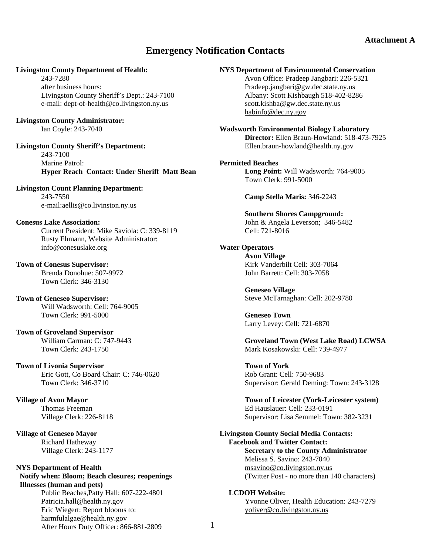# **Emergency Notification Contacts**

#### **Livingston County Department of Health:**

 243-7280 after business hours: Livingston County Sheriff's Dept.: 243-7100 e-mail: dept-of-health@co.livingston.ny.us

# **Livingston County Administrator:**

Ian Coyle: 243-7040

**Livingston County Sheriff's Department:**  243-7100 Marine Patrol: **Hyper Reach Contact: Under Sheriff Matt Bean** 

**Livingston Count Planning Department:**  243-7550 e-mail:aellis@co.livinston.ny.us

#### **Conesus Lake Association:**

 Current President: Mike Saviola: C: 339-8119 Rusty Ehmann, Website Administrator: info@conesuslake.org

**Town of Conesus Supervisor:**  Brenda Donohue: 507-9972 Town Clerk: 346-3130

**Town of Geneseo Supervisor:**  Will Wadsworth: Cell: 764-9005 Town Clerk: 991-5000

#### **Town of Groveland Supervisor**  William Carman: C: 747-9443 Town Clerk: 243-1750

**Town of Livonia Supervisor**  Eric Gott, Co Board Chair: C: 746-0620 Town Clerk: 346-3710

**Village of Avon Mayor**  Thomas Freeman Village Clerk: 226-8118

**Village of Geneseo Mayor** Richard Hatheway Village Clerk: 243-1177

#### **NYS Department of Health Notify when: Bloom; Beach closures; reopenings Illnesses (human and pets)**

 12 After Hours Duty Officer: 866-881-2809 Public Beaches,Patty Hall: 607-222-4801 Patricia.hall@health.ny.gov Eric Wiegert: Report blooms to: harmfulalgae@health.ny.gov

#### **NYS Department of Environmental Conservation**

 Avon Office: Pradeep Jangbari: 226-5321 Pradeep.jangbari@gw.dec.state.ny.us Albany: Scott Kishbaugh 518-402-8286 scott.kishba@gw.dec.state.ny.us habinfo@dec.ny.gov

**Wadsworth Environmental Biology Laboratory Director:** Ellen Braun-Howland: 518-473-7925 Ellen.braun-howland@health.ny.gov

#### **Permitted Beaches**

**Long Point:** Will Wadsworth: 764-9005 Town Clerk: 991-5000

**Camp Stella Maris:** 346-2243

#### **Southern Shores Campground:**  John & Angela Leverson; 346-5482 Cell: 721-8016

#### **Water Operators**

**Avon Village**  Kirk Vanderbilt Cell: 303-7064 John Barrett: Cell: 303-7058

**Geneseo Village**  Steve McTarnaghan: Cell: 202-9780

**Geneseo Town**  Larry Levey: Cell: 721-6870

**Groveland Town (West Lake Road) LCWSA**  Mark Kosakowski: Cell: 739-4977

**Town of York**  Rob Grant: Cell: 750-9683 Supervisor: Gerald Deming: Town: 243-3128

**Town of Leicester (York-Leicester system)**  Ed Hauslauer: Cell: 233-0191 Supervisor: Lisa Semmel: Town: 382-3231

**Livingston County Social Media Contacts: Facebook and Twitter Contact: Secretary to the County Administrator**  Melissa S. Savino: 243-7040 msavino@co.livingston.ny.us (Twitter Post - no more than 140 characters)

#### **LCDOH Website:**

**Yvonne Oliver, Health Education: 243-7279**<br> **Soliver@colivingston py us** yoliver@co.livingston.ny.us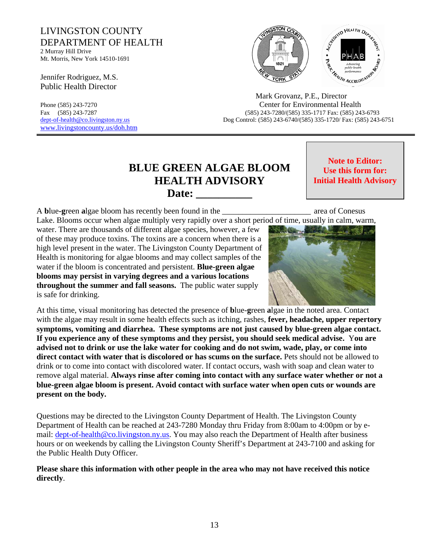# LIVINGSTON COUNTY DEPARTMENT OF HEALTH

2 Murray Hill Drive Mt. Morris, New York 14510-1691

Jennifer Rodriguez, M.S. Public Health Director

www.livingstoncounty.us/doh.htm



 Mark Grovanz, P.E., Director Phone (585) 243-7270 Center for Environmental Health Fax (585) 243-7287 (585) 243-7280/(585) 335-1717 Fax: (585) 243-6793 dept-of-health@co.livingston.ny.us Dog Control: (585) 243-6740/(585) 335-1720/ Fax: (585) 243-6751

# **BLUE GREEN ALGAE BLOOM HEALTH ADVISORY**  Date:

**Note to Editor: Use this form for: Initial Health Advisory**

A **b**lue**-g**reen **a**lgae bloom has recently been found in the \_\_\_\_\_\_\_\_\_\_\_\_\_\_\_\_\_\_\_\_\_\_ area of Conesus

Lake. Blooms occur when algae multiply very rapidly over a short period of time, usually in calm, warm,

water. There are thousands of different algae species, however, a few of these may produce toxins. The toxins are a concern when there is a high level present in the water. The Livingston County Department of Health is monitoring for algae blooms and may collect samples of the water if the bloom is concentrated and persistent. **Blue-green algae blooms may persist in varying degrees and a various locations throughout the summer and fall seasons.** The public water supply is safe for drinking.



At this time, visual monitoring has detected the presence of **b**lue-**g**reen **a**lgae in the noted area. Contact with the algae may result in some health effects such as itching, rashes, **fever, headache, upper repertory symptoms, vomiting and diarrhea. These symptoms are not just caused by blue-green algae contact. If you experience any of these symptoms and they persist, you should seek medical advise.** Y**ou are advised not to drink or use the lake water for cooking and do not swim, wade, play, or come into direct contact with water that is discolored or has scums on the surface.** Pets should not be allowed to drink or to come into contact with discolored water. If contact occurs, wash with soap and clean water to remove algal material. **Always rinse after coming into contact with any surface water whether or not a blue-green algae bloom is present. Avoid contact with surface water when open cuts or wounds are present on the body.**

Questions may be directed to the Livingston County Department of Health. The Livingston County Department of Health can be reached at 243-7280 Monday thru Friday from 8:00am to 4:00pm or by email: dept-of-health@co.livingston.ny.us. You may also reach the Department of Health after business hours or on weekends by calling the Livingston County Sheriff's Department at 243-7100 and asking for the Public Health Duty Officer.

**Please share this information with other people in the area who may not have received this notice directly**.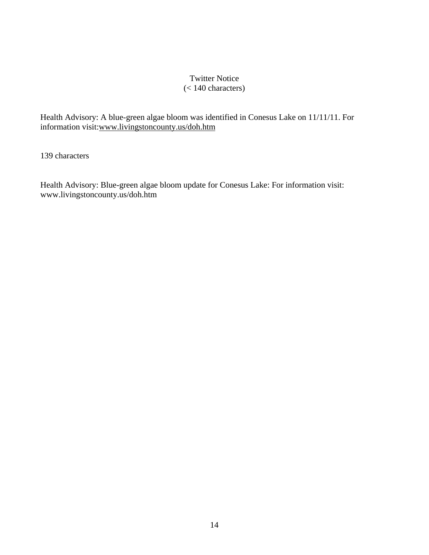# Twitter Notice (< 140 characters)

Health Advisory: A blue-green algae bloom was identified in Conesus Lake on 11/11/11. For information visit:www.livingstoncounty.us/doh.htm

139 characters

Health Advisory: Blue-green algae bloom update for Conesus Lake: For information visit: www.livingstoncounty.us/doh.htm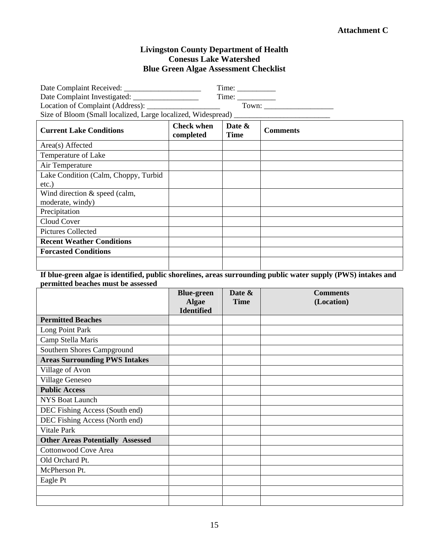# **Attachment C**

# **Livingston County Department of Health Conesus Lake Watershed Blue Green Algae Assessment Checklist**

| Location of Complaint (Address): ____________________<br>Size of Bloom (Small localized, Large localized, Widespread) ____________________ |                                |                       |                 |  |  |
|--------------------------------------------------------------------------------------------------------------------------------------------|--------------------------------|-----------------------|-----------------|--|--|
| <b>Current Lake Conditions</b>                                                                                                             | <b>Check when</b><br>completed | Date &<br><b>Time</b> | <b>Comments</b> |  |  |
| Area(s) Affected                                                                                                                           |                                |                       |                 |  |  |
| Temperature of Lake                                                                                                                        |                                |                       |                 |  |  |
| Air Temperature                                                                                                                            |                                |                       |                 |  |  |
| Lake Condition (Calm, Choppy, Turbid                                                                                                       |                                |                       |                 |  |  |
| etc.)                                                                                                                                      |                                |                       |                 |  |  |
| Wind direction $\&$ speed (calm,                                                                                                           |                                |                       |                 |  |  |
| moderate, windy)                                                                                                                           |                                |                       |                 |  |  |
| Precipitation                                                                                                                              |                                |                       |                 |  |  |
| Cloud Cover                                                                                                                                |                                |                       |                 |  |  |
| <b>Pictures Collected</b>                                                                                                                  |                                |                       |                 |  |  |
| <b>Recent Weather Conditions</b>                                                                                                           |                                |                       |                 |  |  |
| <b>Forcasted Conditions</b>                                                                                                                |                                |                       |                 |  |  |
|                                                                                                                                            |                                |                       |                 |  |  |

**If blue-green algae is identified, public shorelines, areas surrounding public water supply (PWS) intakes and permitted beaches must be assessed** 

|                                         | <b>Blue-green</b> | Date &      | <b>Comments</b> |
|-----------------------------------------|-------------------|-------------|-----------------|
|                                         | <b>Algae</b>      | <b>Time</b> | (Location)      |
|                                         | <b>Identified</b> |             |                 |
| <b>Permitted Beaches</b>                |                   |             |                 |
| Long Point Park                         |                   |             |                 |
| Camp Stella Maris                       |                   |             |                 |
| Southern Shores Campground              |                   |             |                 |
| <b>Areas Surrounding PWS Intakes</b>    |                   |             |                 |
| Village of Avon                         |                   |             |                 |
| Village Geneseo                         |                   |             |                 |
| <b>Public Access</b>                    |                   |             |                 |
| <b>NYS Boat Launch</b>                  |                   |             |                 |
| DEC Fishing Access (South end)          |                   |             |                 |
| DEC Fishing Access (North end)          |                   |             |                 |
| Vitale Park                             |                   |             |                 |
| <b>Other Areas Potentially Assessed</b> |                   |             |                 |
| <b>Cottonwood Cove Area</b>             |                   |             |                 |
| Old Orchard Pt.                         |                   |             |                 |
| McPherson Pt.                           |                   |             |                 |
| Eagle Pt                                |                   |             |                 |
|                                         |                   |             |                 |
|                                         |                   |             |                 |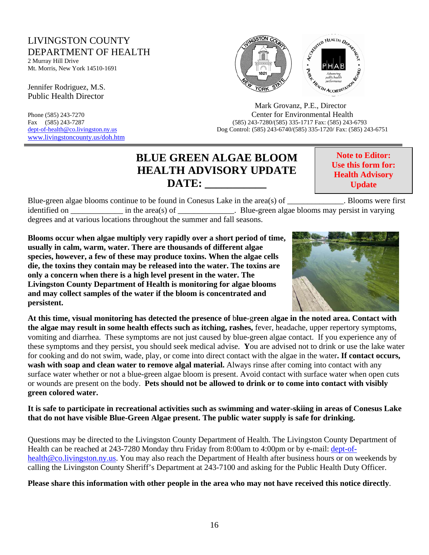# LIVINGSTON COUNTY DEPARTMENT OF HEALTH

2 Murray Hill Drive Mt. Morris, New York 14510-1691

Jennifer Rodriguez, M.S. Public Health Director

www.livingstoncounty.us/doh.htm



Phone (585) 243-7270 Center for Environmental Health<br>Fax (585) 243-7287 (585) 243-7287 (585) 243-7287 (585) 243-7280 Fax (585) 243-7287 (585) 243-7280/(585) 335-1717 Fax: (585) 243-6793 dept-of-health@co.livingston.ny.us Dog Control: (585) 243-6740/(585) 335-1720/ Fax: (585) 243-6751

# **BLUE GREEN ALGAE BLOOM HEALTH ADVISORY UPDATE DATE: \_\_\_\_\_\_\_\_\_\_\_**

**Note to Editor: Use this form for: Health Advisory Update**

Blue-green algae blooms continue to be found in Conesus Lake in the area(s) of Blooms were first identified on  $\qquad$  in the area(s) of  $\qquad$ . Blue-green algae blooms may persist in varying degrees and at various locations throughout the summer and fall seasons.

**Blooms occur when algae multiply very rapidly over a short period of time, usually in calm, warm, water. There are thousands of different algae species, however, a few of these may produce toxins. When the algae cells die, the toxins they contain may be released into the water. The toxins are only a concern when there is a high level present in the water. The Livingston County Department of Health is monitoring for algae blooms and may collect samples of the water if the bloom is concentrated and persistent.** 



**At this time, visual monitoring has detected the presence of** b**lue-**g**reen** a**lgae in the noted area. Contact with the algae may result in some health effects such as itching, rashes,** fever, headache, upper repertory symptoms, vomiting and diarrhea.These symptoms are not just caused by blue-green algae contact. If you experience any of these symptoms and they persist, you should seek medical advise. **Y**ou are advised not to drink or use the lake water for cooking and do not swim, wade, play, or come into direct contact with the algae in the water**. If contact occurs, wash with soap and clean water to remove algal material.** Always rinse after coming into contact with any surface water whether or not a blue-green algae bloom is present. Avoid contact with surface water when open cuts or wounds are present on the body. **Pets should not be allowed to drink or to come into contact with visibly green colored water.** 

**It is safe to participate in recreational activities such as swimming and water-skiing in areas of Conesus Lake that do not have visible Blue-Green Algae present. The public water supply is safe for drinking.** 

Questions may be directed to the Livingston County Department of Health. The Livingston County Department of Health can be reached at 243-7280 Monday thru Friday from 8:00am to 4:00pm or by e-mail: dept-ofhealth@co.livingston.ny.us. You may also reach the Department of Health after business hours or on weekends by calling the Livingston County Sheriff's Department at 243-7100 and asking for the Public Health Duty Officer.

**Please share this information with other people in the area who may not have received this notice directly**.